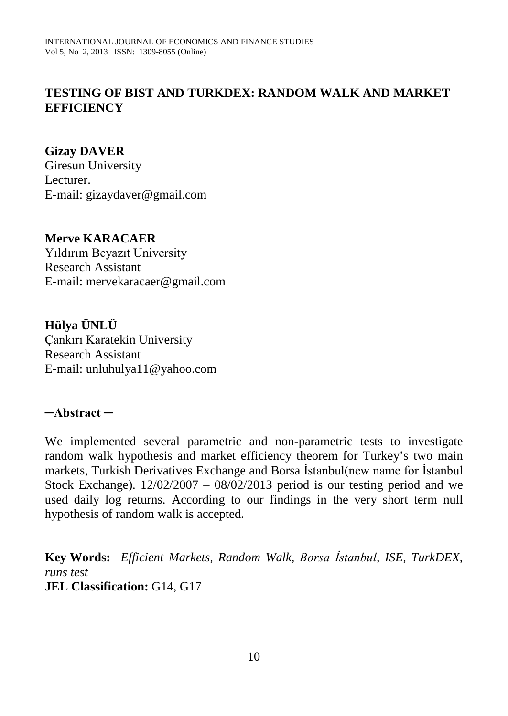### **TESTING OF BIST AND TURKDEX: RANDOM WALK AND MARKET EFFICIENCY**

#### **Gizay DAVER**

Giresun University Lecturer. E-mail: gizaydaver@gmail.com

#### **Merve KARACAER**

Yıldırım Beyazıt University Research Assistant E-mail: mervekaracaer@gmail.com

**Hülya ÜNLÜ** Çankırı Karatekin University Research Assistant E-mail: unluhulya11@yahoo.com

#### **─Abstract ─**

We implemented several parametric and non-parametric tests to investigate random walk hypothesis and market efficiency theorem for Turkey's two main markets, Turkish Derivatives Exchange and Borsa İstanbul(new name for İstanbul Stock Exchange).  $12/02/2007 - 08/02/2013$  period is our testing period and we used daily log returns. According to our findings in the very short term null hypothesis of random walk is accepted.

**Key Words:** *Efficient Markets, Random Walk, Borsa İstanbul, ISE, TurkDEX, runs test*  **JEL Classification:** G14, G17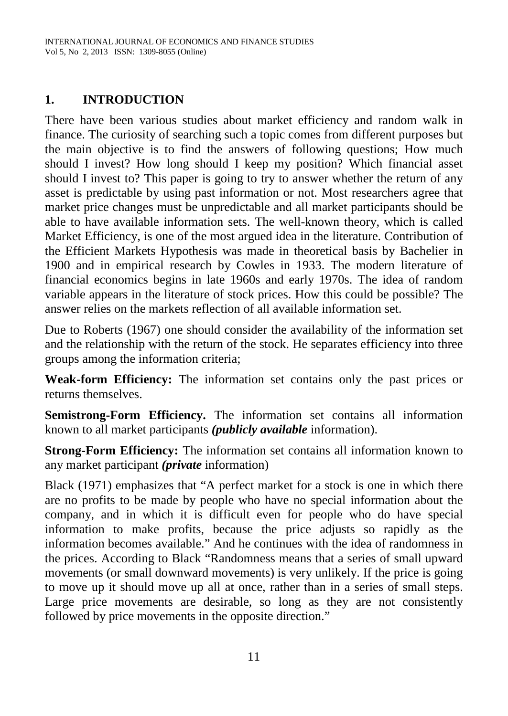# **1. INTRODUCTION**

There have been various studies about market efficiency and random walk in finance. The curiosity of searching such a topic comes from different purposes but the main objective is to find the answers of following questions; How much should I invest? How long should I keep my position? Which financial asset should I invest to? This paper is going to try to answer whether the return of any asset is predictable by using past information or not. Most researchers agree that market price changes must be unpredictable and all market participants should be able to have available information sets. The well-known theory, which is called Market Efficiency, is one of the most argued idea in the literature. Contribution of the Efficient Markets Hypothesis was made in theoretical basis by Bachelier in 1900 and in empirical research by Cowles in 1933. The modern literature of financial economics begins in late 1960s and early 1970s. The idea of random variable appears in the literature of stock prices. How this could be possible? The answer relies on the markets reflection of all available information set.

Due to Roberts (1967) one should consider the availability of the information set and the relationship with the return of the stock. He separates efficiency into three groups among the information criteria;

**Weak-form Efficiency:** The information set contains only the past prices or returns themselves.

**Semistrong-Form Efficiency.** The information set contains all information known to all market participants *(publicly available* information).

**Strong-Form Efficiency:** The information set contains all information known to any market participant *(private* information)

Black (1971) emphasizes that "A perfect market for a stock is one in which there are no profits to be made by people who have no special information about the company, and in which it is difficult even for people who do have special information to make profits, because the price adjusts so rapidly as the information becomes available." And he continues with the idea of randomness in the prices. According to Black "Randomness means that a series of small upward movements (or small downward movements) is very unlikely. If the price is going to move up it should move up all at once, rather than in a series of small steps. Large price movements are desirable, so long as they are not consistently followed by price movements in the opposite direction."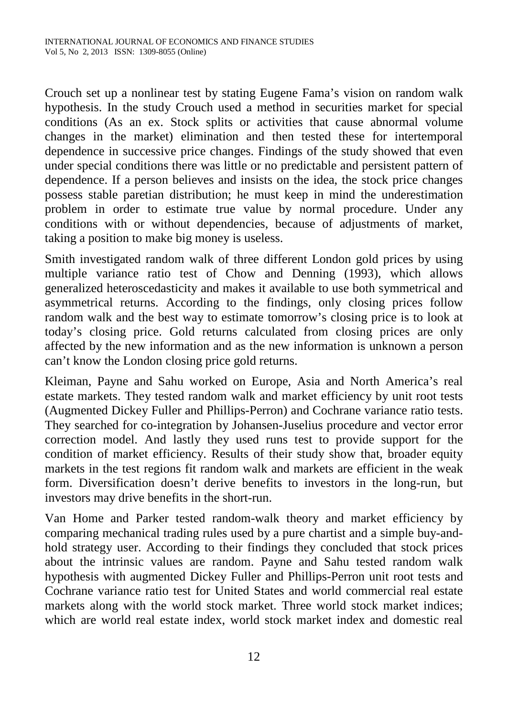Crouch set up a nonlinear test by stating Eugene Fama's vision on random walk hypothesis. In the study Crouch used a method in securities market for special conditions (As an ex. Stock splits or activities that cause abnormal volume changes in the market) elimination and then tested these for intertemporal dependence in successive price changes. Findings of the study showed that even under special conditions there was little or no predictable and persistent pattern of dependence. If a person believes and insists on the idea, the stock price changes possess stable paretian distribution; he must keep in mind the underestimation problem in order to estimate true value by normal procedure. Under any conditions with or without dependencies, because of adjustments of market, taking a position to make big money is useless.

Smith investigated random walk of three different London gold prices by using multiple variance ratio test of Chow and Denning (1993), which allows generalized heteroscedasticity and makes it available to use both symmetrical and asymmetrical returns. According to the findings, only closing prices follow random walk and the best way to estimate tomorrow's closing price is to look at today's closing price. Gold returns calculated from closing prices are only affected by the new information and as the new information is unknown a person can't know the London closing price gold returns.

Kleiman, Payne and Sahu worked on Europe, Asia and North America's real estate markets. They tested random walk and market efficiency by unit root tests (Augmented Dickey Fuller and Phillips-Perron) and Cochrane variance ratio tests. They searched for co-integration by Johansen-Juselius procedure and vector error correction model. And lastly they used runs test to provide support for the condition of market efficiency. Results of their study show that, broader equity markets in the test regions fit random walk and markets are efficient in the weak form. Diversification doesn't derive benefits to investors in the long-run, but investors may drive benefits in the short-run.

Van Home and Parker tested random-walk theory and market efficiency by comparing mechanical trading rules used by a pure chartist and a simple buy-andhold strategy user. According to their findings they concluded that stock prices about the intrinsic values are random. Payne and Sahu tested random walk hypothesis with augmented Dickey Fuller and Phillips-Perron unit root tests and Cochrane variance ratio test for United States and world commercial real estate markets along with the world stock market. Three world stock market indices; which are world real estate index, world stock market index and domestic real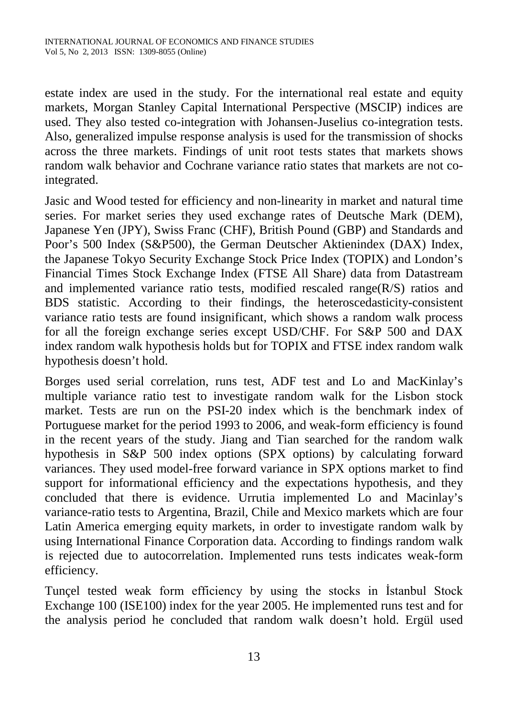estate index are used in the study. For the international real estate and equity markets, Morgan Stanley Capital International Perspective (MSCIP) indices are used. They also tested co-integration with Johansen-Juselius co-integration tests. Also, generalized impulse response analysis is used for the transmission of shocks across the three markets. Findings of unit root tests states that markets shows random walk behavior and Cochrane variance ratio states that markets are not cointegrated.

Jasic and Wood tested for efficiency and non-linearity in market and natural time series. For market series they used exchange rates of Deutsche Mark (DEM), Japanese Yen (JPY), Swiss Franc (CHF), British Pound (GBP) and Standards and Poor's 500 Index (S&P500), the German Deutscher Aktienindex (DAX) Index, the Japanese Tokyo Security Exchange Stock Price Index (TOPIX) and London's Financial Times Stock Exchange Index (FTSE All Share) data from Datastream and implemented variance ratio tests, modified rescaled range $(R/S)$  ratios and BDS statistic. According to their findings, the heteroscedasticity-consistent variance ratio tests are found insignificant, which shows a random walk process for all the foreign exchange series except USD/CHF. For S&P 500 and DAX index random walk hypothesis holds but for TOPIX and FTSE index random walk hypothesis doesn't hold.

Borges used serial correlation, runs test, ADF test and Lo and MacKinlay's multiple variance ratio test to investigate random walk for the Lisbon stock market. Tests are run on the PSI-20 index which is the benchmark index of Portuguese market for the period 1993 to 2006, and weak-form efficiency is found in the recent years of the study. Jiang and Tian searched for the random walk hypothesis in S&P 500 index options (SPX options) by calculating forward variances. They used model-free forward variance in SPX options market to find support for informational efficiency and the expectations hypothesis, and they concluded that there is evidence. Urrutia implemented Lo and Macinlay's variance-ratio tests to Argentina, Brazil, Chile and Mexico markets which are four Latin America emerging equity markets, in order to investigate random walk by using International Finance Corporation data. According to findings random walk is rejected due to autocorrelation. Implemented runs tests indicates weak-form efficiency.

Tunçel tested weak form efficiency by using the stocks in İstanbul Stock Exchange 100 (ISE100) index for the year 2005. He implemented runs test and for the analysis period he concluded that random walk doesn't hold. Ergül used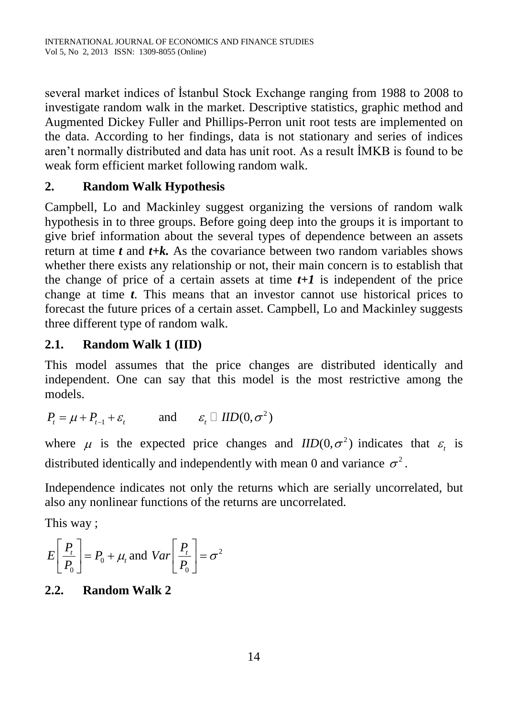several market indices of İstanbul Stock Exchange ranging from 1988 to 2008 to investigate random walk in the market. Descriptive statistics, graphic method and Augmented Dickey Fuller and Phillips-Perron unit root tests are implemented on the data. According to her findings, data is not stationary and series of indices aren't normally distributed and data has unit root. As a result İMKB is found to be weak form efficient market following random walk.

# **2. Random Walk Hypothesis**

Campbell, Lo and Mackinley suggest organizing the versions of random walk hypothesis in to three groups. Before going deep into the groups it is important to give brief information about the several types of dependence between an assets return at time *t* and *t+k.* As the covariance between two random variables shows whether there exists any relationship or not, their main concern is to establish that the change of price of a certain assets at time  $t+1$  is independent of the price change at time *t*. This means that an investor cannot use historical prices to forecast the future prices of a certain asset. Campbell, Lo and Mackinley suggests three different type of random walk.

# **2.1. Random Walk 1 (IID)**

This model assumes that the price changes are distributed identically and independent. One can say that this model is the most restrictive among the models.

$$
P_t = \mu + P_{t-1} + \varepsilon_t \quad \text{and} \quad \varepsilon_t \square \text{ IID}(0, \sigma^2)
$$

where  $\mu$  is the expected price changes and  $IID(0, \sigma^2)$  indicates that  $\varepsilon$ , is distributed identically and independently with mean 0 and variance  $\sigma^2$ .

Independence indicates not only the returns which are serially uncorrelated, but also any nonlinear functions of the returns are uncorrelated.

This way ;

$$
E\left[\frac{P_t}{P_0}\right] = P_0 + \mu_t \text{ and } Var\left[\frac{P_t}{P_0}\right] = \sigma^2
$$

## **2.2. Random Walk 2**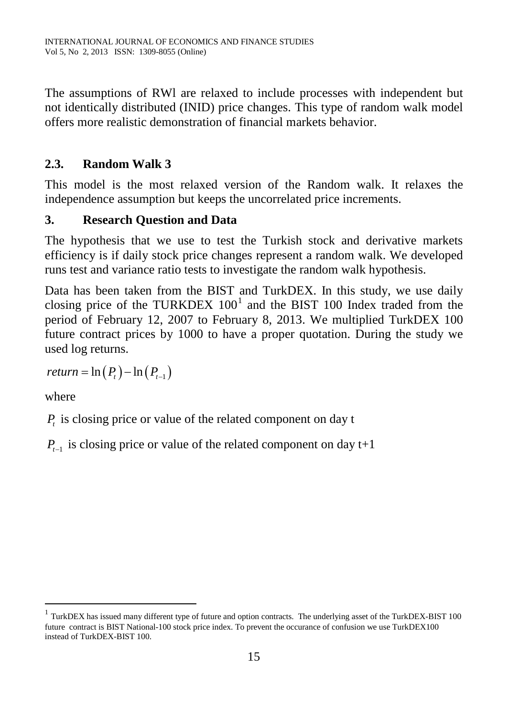The assumptions of RWl are relaxed to include processes with independent but not identically distributed (INID) price changes. This type of random walk model offers more realistic demonstration of financial markets behavior.

### **2.3. Random Walk 3**

This model is the most relaxed version of the Random walk. It relaxes the independence assumption but keeps the uncorrelated price increments.

### **3. Research Question and Data**

The hypothesis that we use to test the Turkish stock and derivative markets efficiency is if daily stock price changes represent a random walk. We developed runs test and variance ratio tests to investigate the random walk hypothesis.

Data has been taken from the BIST and TurkDEX. In this study, we use daily closing price of the TURKDEX  $100^1$  $100^1$  and the BIST 100 Index traded from the period of February 12, 2007 to February 8, 2013. We multiplied TurkDEX 100 future contract prices by 1000 to have a proper quotation. During the study we used log returns.

 $return = \ln(P_{t}) - \ln(P_{t-1})$ 

where

 $\overline{a}$ 

*P*<sub>i</sub> is closing price or value of the related component on day t

 $P_{t-1}$  is closing price or value of the related component on day t+1

<span id="page-5-0"></span> $1$  TurkDEX has issued many different type of future and option contracts. The underlying asset of the TurkDEX-BIST 100 future contract is BIST National-100 stock price index. To prevent the occurance of confusion we use TurkDEX100 instead of TurkDEX-BIST 100.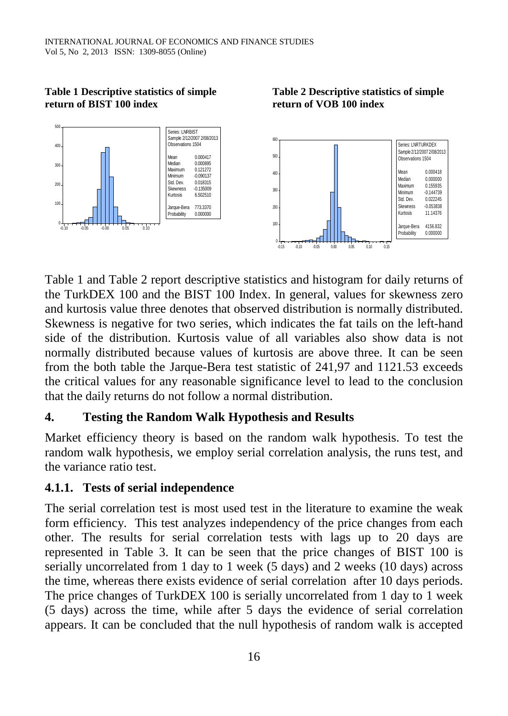**Table 1 Descriptive statistics of simple return of BIST 100 index**



**Table 2 Descriptive statistics of simple** 

**return of VOB 100 index**

Table 1 and Table 2 report descriptive statistics and histogram for daily returns of the TurkDEX 100 and the BIST 100 Index. In general, values for skewness zero and kurtosis value three denotes that observed distribution is normally distributed. Skewness is negative for two series, which indicates the fat tails on the left-hand side of the distribution. Kurtosis value of all variables also show data is not normally distributed because values of kurtosis are above three. It can be seen from the both table the Jarque-Bera test statistic of 241,97 and 1121.53 exceeds the critical values for any reasonable significance level to lead to the conclusion that the daily returns do not follow a normal distribution.

#### **4. Testing the Random Walk Hypothesis and Results**

Market efficiency theory is based on the random walk hypothesis. To test the random walk hypothesis, we employ serial correlation analysis, the runs test, and the variance ratio test.

#### **4.1.1. Tests of serial independence**

The serial correlation test is most used test in the literature to examine the weak form efficiency. This test analyzes independency of the price changes from each other. The results for serial correlation tests with lags up to 20 days are represented in Table 3. It can be seen that the price changes of BIST 100 is serially uncorrelated from 1 day to 1 week (5 days) and 2 weeks (10 days) across the time, whereas there exists evidence of serial correlation after 10 days periods. The price changes of TurkDEX 100 is serially uncorrelated from 1 day to 1 week (5 days) across the time, while after 5 days the evidence of serial correlation appears. It can be concluded that the null hypothesis of random walk is accepted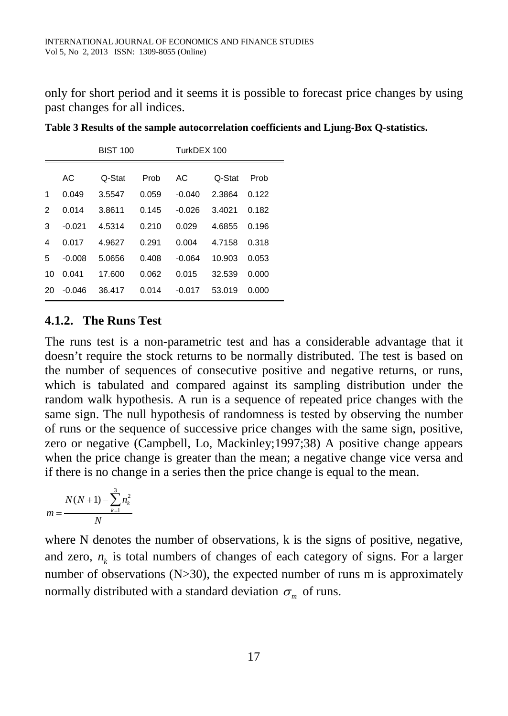only for short period and it seems it is possible to forecast price changes by using past changes for all indices.

|               |          | <b>BIST 100</b> |       |          | TurkDEX 100 |       |  |  |
|---------------|----------|-----------------|-------|----------|-------------|-------|--|--|
|               | AC       | Q-Stat          | Prob  | AC       | Q-Stat      | Prob  |  |  |
| 1             | 0.049    | 3.5547          | 0.059 | $-0.040$ | 2.3864      | 0.122 |  |  |
| $\mathcal{P}$ | 0.014    | 3.8611          | 0.145 | $-0.026$ | 3.4021      | 0.182 |  |  |
| 3             | $-0.021$ | 4.5314          | 0.210 | 0.029    | 4.6855      | 0.196 |  |  |
| 4             | 0.017    | 4.9627          | 0.291 | 0.004    | 4.7158      | 0.318 |  |  |
| 5             | $-0.008$ | 5.0656          | 0.408 | $-0.064$ | 10.903      | 0.053 |  |  |
| 10            | 0.041    | 17.600          | 0.062 | 0.015    | 32.539      | 0.000 |  |  |
| 20            | $-0.046$ | 36.417          | 0.014 | $-0.017$ | 53.019      | 0.000 |  |  |
|               |          |                 |       |          |             |       |  |  |

**Table 3 Results of the sample autocorrelation coefficients and Ljung-Box Q-statistics.**

## **4.1.2. The Runs Test**

The runs test is a non-parametric test and has a considerable advantage that it doesn't require the stock returns to be normally distributed. The test is based on the number of sequences of consecutive positive and negative returns, or runs, which is tabulated and compared against its sampling distribution under the random walk hypothesis. A run is a sequence of repeated price changes with the same sign. The null hypothesis of randomness is tested by observing the number of runs or the sequence of successive price changes with the same sign, positive, zero or negative (Campbell, Lo, Mackinley;1997;38) A positive change appears when the price change is greater than the mean; a negative change vice versa and if there is no change in a series then the price change is equal to the mean.

$$
m = \frac{N(N+1) - \sum_{k=1}^{3} n_k^2}{N}
$$

where N denotes the number of observations, k is the signs of positive, negative, and zero,  $n_k$  is total numbers of changes of each category of signs. For a larger number of observations (N>30), the expected number of runs m is approximately normally distributed with a standard deviation  $\sigma_m$  of runs.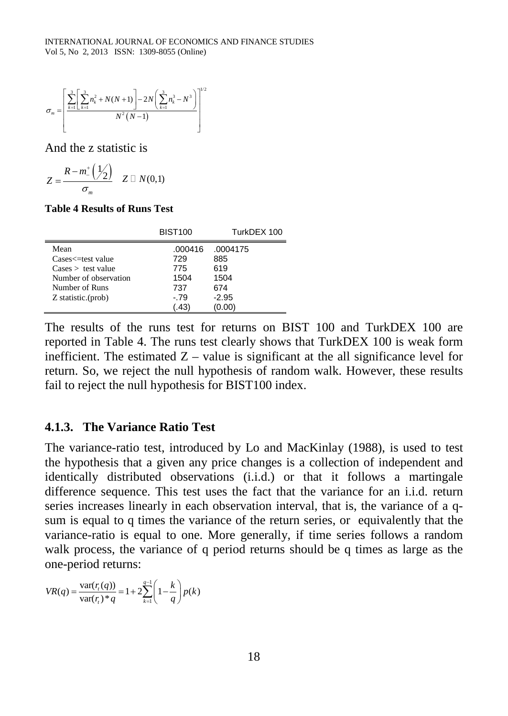$$
\sigma_m = \left[ \frac{\sum_{k=1}^{3} \left[ \sum_{k=1}^{3} n_k^2 + N(N+1) \right] - 2N \left( \sum_{k=1}^{3} n_k^3 - N^3 \right)}{N^2 (N-1)} \right]^{1/2}
$$

And the z statistic is

$$
Z = \frac{R - m_{-}^{+}\left(\frac{1}{2}\right)}{\sigma_{m}} \quad Z \square N(0,1)
$$

#### **Table 4 Results of Runs Test**

|                                                                                                                            | <b>BIST100</b>                                 | TurkDEX 100                                      |  |  |
|----------------------------------------------------------------------------------------------------------------------------|------------------------------------------------|--------------------------------------------------|--|--|
| Mean<br>Cases<=test value<br>$\text{Case}$ $>$ test value<br>Number of observation<br>Number of Runs<br>Z statistic.(prob) | .000416<br>729<br>775<br>1504<br>737<br>$-.79$ | .0004175<br>885<br>619<br>1504<br>674<br>$-2.95$ |  |  |
|                                                                                                                            | .43                                            | (0.00)                                           |  |  |

The results of the runs test for returns on BIST 100 and TurkDEX 100 are reported in Table 4. The runs test clearly shows that TurkDEX 100 is weak form inefficient. The estimated  $Z -$  value is significant at the all significance level for return. So, we reject the null hypothesis of random walk. However, these results fail to reject the null hypothesis for BIST100 index.

#### **4.1.3. The Variance Ratio Test**

The variance-ratio test, introduced by Lo and MacKinlay (1988), is used to test the hypothesis that a given any price changes is a collection of independent and identically distributed observations (i.i.d.) or that it follows a martingale difference sequence. This test uses the fact that the variance for an i.i.d. return series increases linearly in each observation interval, that is, the variance of a qsum is equal to q times the variance of the return series, or equivalently that the variance-ratio is equal to one. More generally, if time series follows a random walk process, the variance of q period returns should be q times as large as the one-period returns:

$$
VR(q) = \frac{\text{var}(r_i(q))}{\text{var}(r_i)^*q} = 1 + 2\sum_{k=1}^{q-1} \left(1 - \frac{k}{q}\right) p(k)
$$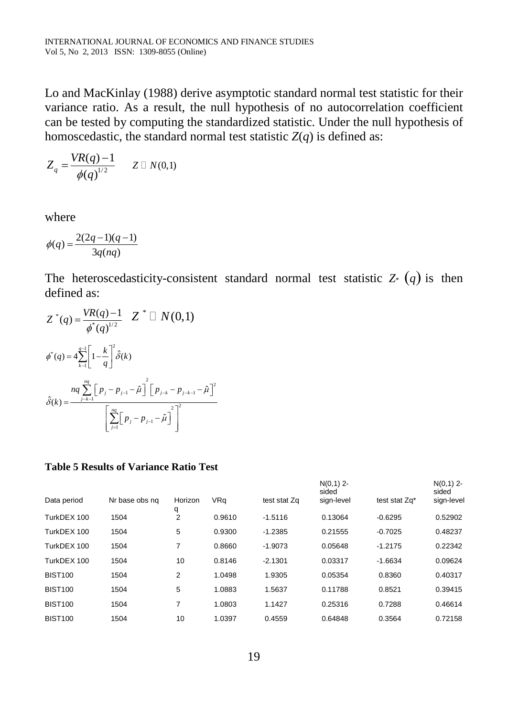Lo and MacKinlay (1988) derive asymptotic standard normal test statistic for their variance ratio. As a result, the null hypothesis of no autocorrelation coefficient can be tested by computing the standardized statistic. Under the null hypothesis of homoscedastic, the standard normal test statistic  $Z(q)$  is defined as:

$$
Z_q = \frac{VR(q)-1}{\phi(q)^{1/2}} \qquad Z \square N(0,1)
$$

where

$$
\phi(q) = \frac{2(2q-1)(q-1)}{3q(nq)}
$$

The heteroscedasticity-consistent standard normal test statistic  $Z^*$  (q) is then defined as:

$$
Z^*(q) = \frac{VR(q) - 1}{\phi^*(q)^{1/2}} Z^* \square N(0,1)
$$
  

$$
\phi^*(q) = 4 \sum_{k=1}^{q-1} \left[ 1 - \frac{k}{q} \right]^2 \hat{\delta}(k)
$$
  

$$
\hat{\delta}(k) = \frac{nq \sum_{j=k-1}^{nq} \left[ p_j - p_{j-1} - \hat{\mu} \right]^2 \left[ p_{j-k} - p_{j-k-1} - \hat{\mu} \right]^2}{\left[ \sum_{j=1}^{nq} \left[ p_j - p_{j-1} - \hat{\mu} \right]^2 \right]^2}
$$

#### **Table 5 Results of Variance Ratio Test**

|                |                |                |            |              | $N(0,1)$ 2-<br>sided |               | $N(0,1)$ 2-<br>sided |
|----------------|----------------|----------------|------------|--------------|----------------------|---------------|----------------------|
| Data period    | Nr base obs ng | Horizon<br>q   | <b>VRq</b> | test stat Zq | sign-level           | test stat Zq* | sign-level           |
| TurkDEX 100    | 1504           | $\overline{2}$ | 0.9610     | $-1.5116$    | 0.13064              | $-0.6295$     | 0.52902              |
| TurkDEX 100    | 1504           | 5              | 0.9300     | $-1.2385$    | 0.21555              | $-0.7025$     | 0.48237              |
| TurkDEX 100    | 1504           | 7              | 0.8660     | $-1.9073$    | 0.05648              | $-1.2175$     | 0.22342              |
| TurkDEX 100    | 1504           | 10             | 0.8146     | $-2.1301$    | 0.03317              | $-1.6634$     | 0.09624              |
| <b>BIST100</b> | 1504           | 2              | 1.0498     | 1.9305       | 0.05354              | 0.8360        | 0.40317              |
| <b>BIST100</b> | 1504           | 5              | 1.0883     | 1.5637       | 0.11788              | 0.8521        | 0.39415              |
| <b>BIST100</b> | 1504           | 7              | 1.0803     | 1.1427       | 0.25316              | 0.7288        | 0.46614              |
| <b>BIST100</b> | 1504           | 10             | 1.0397     | 0.4559       | 0.64848              | 0.3564        | 0.72158              |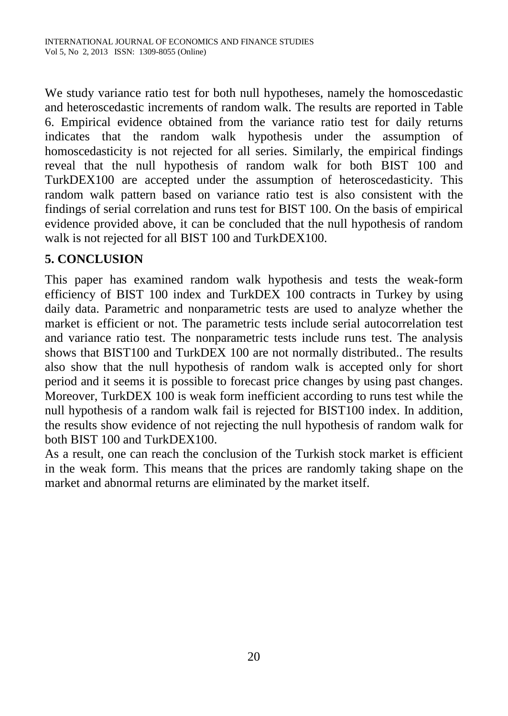We study variance ratio test for both null hypotheses, namely the homoscedastic and heteroscedastic increments of random walk. The results are reported in Table 6. Empirical evidence obtained from the variance ratio test for daily returns indicates that the random walk hypothesis under the assumption of homoscedasticity is not rejected for all series. Similarly, the empirical findings reveal that the null hypothesis of random walk for both BIST 100 and TurkDEX100 are accepted under the assumption of heteroscedasticity. This random walk pattern based on variance ratio test is also consistent with the findings of serial correlation and runs test for BIST 100. On the basis of empirical evidence provided above, it can be concluded that the null hypothesis of random walk is not rejected for all BIST 100 and TurkDEX100.

## **5. CONCLUSION**

This paper has examined random walk hypothesis and tests the weak-form efficiency of BIST 100 index and TurkDEX 100 contracts in Turkey by using daily data. Parametric and nonparametric tests are used to analyze whether the market is efficient or not. The parametric tests include serial autocorrelation test and variance ratio test. The nonparametric tests include runs test. The analysis shows that BIST100 and TurkDEX 100 are not normally distributed.. The results also show that the null hypothesis of random walk is accepted only for short period and it seems it is possible to forecast price changes by using past changes. Moreover, TurkDEX 100 is weak form inefficient according to runs test while the null hypothesis of a random walk fail is rejected for BIST100 index. In addition, the results show evidence of not rejecting the null hypothesis of random walk for both BIST 100 and TurkDEX100.

As a result, one can reach the conclusion of the Turkish stock market is efficient in the weak form. This means that the prices are randomly taking shape on the market and abnormal returns are eliminated by the market itself.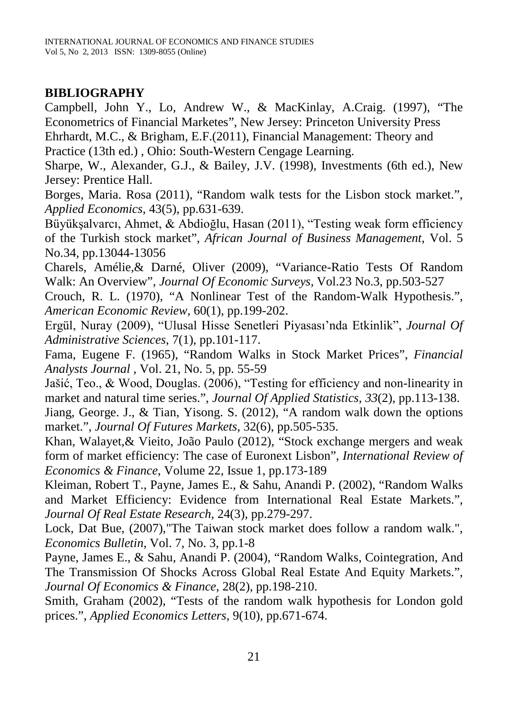## **BIBLIOGRAPHY**

Campbell, John Y., Lo, Andrew W., & MacKinlay, A.Craig. (1997), "The Econometrics of Financial Marketes", New Jersey: Princeton University Press Ehrhardt, M.C., & Brigham, E.F.(2011), Financial Management: Theory and

Practice (13th ed.) , Ohio: South-Western Cengage Learning.

Sharpe, W., Alexander, G.J., & Bailey, J.V. (1998), Investments (6th ed.), New Jersey: Prentice Hall.

Borges, Maria. Rosa (2011), "Random walk tests for the Lisbon stock market.", *Applied Economics*, 43(5), pp.631-639.

Büyükşalvarcı, Ahmet, & Abdioğlu, Hasan (2011), "Testing weak form efficiency of the Turkish stock market", *African Journal of Business Management*, Vol. 5 No.34, pp.13044-13056

Charels, Amélie,& Darné, Oliver (2009), "Variance-Ratio Tests Of Random Walk: An Overview", *Journal Of Economic Surveys,* Vol.23 No.3, pp.503-527

Crouch, R. L. (1970), "A Nonlinear Test of the Random-Walk Hypothesis.", *American Economic Review*, 60(1), pp.199-202.

Ergül, Nuray (2009), "Ulusal Hisse Senetleri Piyasası'nda Etkinlik", *Journal Of Administrative Sciences*, 7(1), pp.101-117.

Fama, Eugene F. (1965), "Random Walks in Stock Market Prices", *Financial Analysts Journal* , Vol. 21, No. 5, pp. 55-59

Jašić, Teo., & Wood, Douglas. (2006), "Testing for efficiency and non-linearity in market and natural time series.", *Journal Of Applied Statistics*, *33*(2), pp.113-138.

Jiang, George. J., & Tian, Yisong. S. (2012), "A random walk down the options market.", *Journal Of Futures Markets*, 32(6), pp.505-535.

Khan, Walayet,& Vieito, João Paulo (2012), "Stock exchange mergers and weak form of market efficiency: The case of Euronext Lisbon", *International Review of Economics & Finance*, Volume 22, Issue 1, pp.173-189

Kleiman, Robert T., Payne, James E., & Sahu, Anandi P. (2002), "Random Walks and Market Efficiency: Evidence from International Real Estate Markets.", *Journal Of Real Estate Research*, 24(3), pp.279-297.

Lock, Dat Bue, (2007),"The Taiwan stock market does follow a random walk.", *Economics Bulletin*, Vol. 7, No. 3, pp.1-8

Payne, James E., & Sahu, Anandi P. (2004), "Random Walks, Cointegration, And The Transmission Of Shocks Across Global Real Estate And Equity Markets.", *Journal Of Economics & Finance*, 28(2), pp.198-210.

Smith, Graham (2002), "Tests of the random walk hypothesis for London gold prices.", *Applied Economics Letters*, 9(10), pp.671-674.